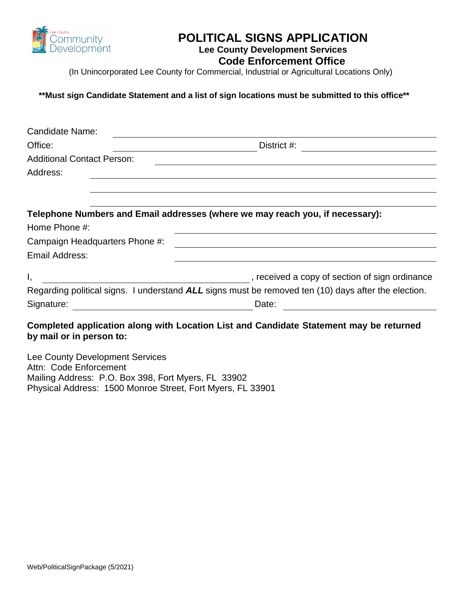

### **POLITICAL SIGNS APPLICATION**

#### **Lee County Development Services**

 **Code Enforcement Office** 

(In Unincorporated Lee County for Commercial, Industrial or Agricultural Locations Only)

**\*\*Must sign Candidate Statement and a list of sign locations must be submitted to this office\*\*** 

| <b>Candidate Name:</b>                                                        |                                                                                                     |  |  |
|-------------------------------------------------------------------------------|-----------------------------------------------------------------------------------------------------|--|--|
| Office:                                                                       | District #:                                                                                         |  |  |
| <b>Additional Contact Person:</b>                                             |                                                                                                     |  |  |
| Address:                                                                      |                                                                                                     |  |  |
|                                                                               |                                                                                                     |  |  |
|                                                                               |                                                                                                     |  |  |
| Telephone Numbers and Email addresses (where we may reach you, if necessary): |                                                                                                     |  |  |
| Home Phone #:                                                                 |                                                                                                     |  |  |
| Campaign Headquarters Phone #:                                                |                                                                                                     |  |  |
| Email Address:                                                                |                                                                                                     |  |  |
| Ι,                                                                            | , received a copy of section of sign ordinance                                                      |  |  |
|                                                                               | Regarding political signs. I understand ALL signs must be removed ten (10) days after the election. |  |  |
| Signature:                                                                    | Date:                                                                                               |  |  |
|                                                                               |                                                                                                     |  |  |

#### **Completed application along with Location List and Candidate Statement may be returned by mail or in person to:**

Lee County Development Services Attn: Code Enforcement Mailing Address: P.O. Box 398, Fort Myers, FL 33902 Physical Address: 1500 Monroe Street, Fort Myers, FL 33901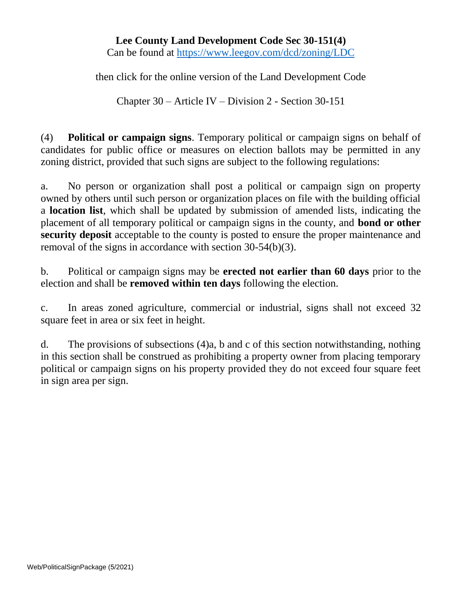### **Lee County Land Development Code Sec 30-151(4)**  Can be found at<https://www.leegov.com/dcd/zoning/LDC>

then click for the online version of the Land Development Code

Chapter 30 – Article IV – Division 2 - Section 30-151

(4) **Political or campaign signs**. Temporary political or campaign signs on behalf of candidates for public office or measures on election ballots may be permitted in any zoning district, provided that such signs are subject to the following regulations:

a. No person or organization shall post a political or campaign sign on property owned by others until such person or organization places on file with the building official a **location list**, which shall be updated by submission of amended lists, indicating the placement of all temporary political or campaign signs in the county, and **bond or other security deposit** acceptable to the county is posted to ensure the proper maintenance and removal of the signs in accordance with section 30-54(b)(3).

b. Political or campaign signs may be **erected not earlier than 60 days** prior to the election and shall be **removed within ten days** following the election.

c. In areas zoned agriculture, commercial or industrial, signs shall not exceed 32 square feet in area or six feet in height.

d. The provisions of subsections (4)a, b and c of this section notwithstanding, nothing in this section shall be construed as prohibiting a property owner from placing temporary political or campaign signs on his property provided they do not exceed four square feet in sign area per sign.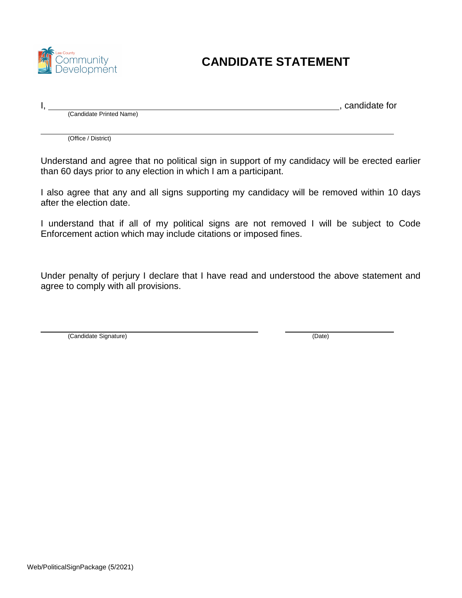

### **CANDIDATE STATEMENT**

I, 1, 2000, 1, 2000, 1, 2000, 1, 2000, 1, 2000, 1, 2000, 1, 2000, 1, 2000, 1, 2000, 1, 2000, 1, 2000, 1, 2000, 1, 2000, 1, 2000, 1, 2000, 1, 2000, 1, 2000, 1, 2000, 1, 2000, 1, 2000, 1, 2000, 1, 2000, 1, 2000, 1, 2000, 1,

(Candidate Printed Name)

(Office / District)

Understand and agree that no political sign in support of my candidacy will be erected earlier than 60 days prior to any election in which I am a participant.

I also agree that any and all signs supporting my candidacy will be removed within 10 days after the election date.

I understand that if all of my political signs are not removed I will be subject to Code Enforcement action which may include citations or imposed fines.

Under penalty of perjury I declare that I have read and understood the above statement and agree to comply with all provisions.

(Candidate Signature) (Date)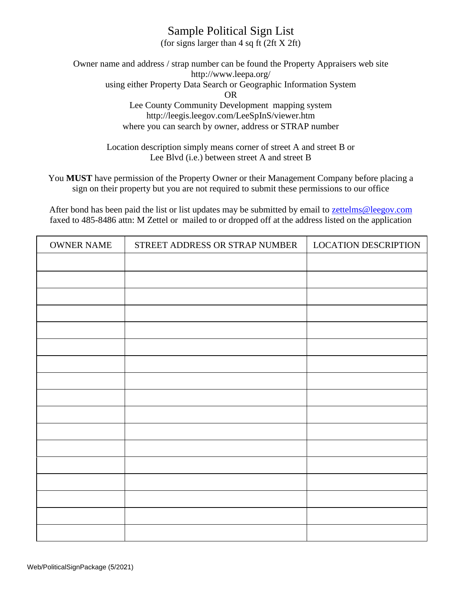### Sample Political Sign List

(for signs larger than 4 sq ft (2ft X 2ft)

Owner name and address / strap number can be found the Property Appraisers web site <http://www.leepa.org/> using either Property Data Search or Geographic Information System OR Lee County Community Development mapping system <http://leegis.leegov.com/LeeSpInS/viewer.htm> where you can search by owner, address or STRAP number

> Location description simply means corner of street A and street B or Lee Blvd (i.e.) between street A and street B

You **MUST** have permission of the Property Owner or their Management Company before placing a sign on their property but you are not required to submit these permissions to our office

After bond has been paid the list or list updates may be submitted by email to zettelms@leegov.com faxed to 485-8486 attn: M Zettel or mailed to or dropped off at the address listed on the application

| <b>OWNER NAME</b> | STREET ADDRESS OR STRAP NUMBER | <b>LOCATION DESCRIPTION</b> |
|-------------------|--------------------------------|-----------------------------|
|                   |                                |                             |
|                   |                                |                             |
|                   |                                |                             |
|                   |                                |                             |
|                   |                                |                             |
|                   |                                |                             |
|                   |                                |                             |
|                   |                                |                             |
|                   |                                |                             |
|                   |                                |                             |
|                   |                                |                             |
|                   |                                |                             |
|                   |                                |                             |
|                   |                                |                             |
|                   |                                |                             |
|                   |                                |                             |
|                   |                                |                             |